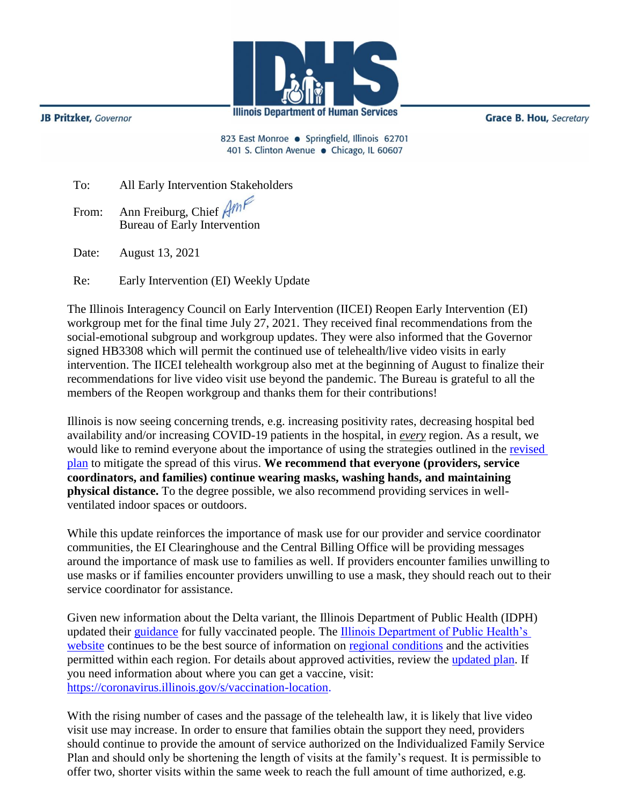

**JB Pritzker**, Governor

**Grace B. Hou, Secretary** 

823 East Monroe · Springfield, Illinois 62701 401 S. Clinton Avenue · Chicago, IL 60607

| To: | All Early Intervention Stakeholders |
|-----|-------------------------------------|
|     | Trom: Ann Freiburg, Chief Amf       |

Bureau of Early Intervention

Date: August 13, 2021

Re: Early Intervention (EI) Weekly Update

The Illinois Interagency Council on Early Intervention (IICEI) Reopen Early Intervention (EI) workgroup met for the final time July 27, 2021. They received final recommendations from the social-emotional subgroup and workgroup updates. They were also informed that the Governor signed HB3308 which will permit the continued use of telehealth/live video visits in early intervention. The IICEI telehealth workgroup also met at the beginning of August to finalize their recommendations for live video visit use beyond the pandemic. The Bureau is grateful to all the members of the Reopen workgroup and thanks them for their contributions!

Illinois is now seeing concerning trends, e.g. increasing positivity rates, decreasing hospital bed availability and/or increasing COVID-19 patients in the hospital, in *every* region. As a result, we would like to remind everyone about the importance of using the strategies outlined in the [revised](http://www.wiu.edu/coehs/provider_connections/pdf/Revised%20Early%20Intervention%20Plan%20for%20Resuming%20In-Person%20Services-06-23-21.pdf)  [plan](http://www.wiu.edu/coehs/provider_connections/pdf/Revised%20Early%20Intervention%20Plan%20for%20Resuming%20In-Person%20Services-06-23-21.pdf) to mitigate the spread of this virus. **We recommend that everyone (providers, service coordinators, and families) continue wearing masks, washing hands, and maintaining physical distance.** To the degree possible, we also recommend providing services in wellventilated indoor spaces or outdoors.

While this update reinforces the importance of mask use for our provider and service coordinator communities, the EI Clearinghouse and the Central Billing Office will be providing messages around the importance of mask use to families as well. If providers encounter families unwilling to use masks or if families encounter providers unwilling to use a mask, they should reach out to their service coordinator for assistance.

Given new information about the Delta variant, the Illinois Department of Public Health (IDPH) updated their [guidance](https://www.dph.illinois.gov/covid19/community-guidance/recommendations-fully-vaccinated) for fully vaccinated people. The **Illinois Department of Public Health's** [website](https://www.dph.illinois.gov/covid19) continues to be the best source of information on [regional conditions](https://www.dph.illinois.gov/regionmetrics?regionID=1) and the activities permitted within each region. For details about approved activities, review the [updated plan.](https://www2.illinois.gov/IISNews/22653-Illinois_Resurgence_Mitigation_Plan_-_January_15_2021_Update.pdf) If you need information about where you can get a vaccine, visit: [https://coronavirus.illinois.gov/s/vaccination-location.](https://coronavirus.illinois.gov/s/vaccination-location)

With the rising number of cases and the passage of the telehealth law, it is likely that live video visit use may increase. In order to ensure that families obtain the support they need, providers should continue to provide the amount of service authorized on the Individualized Family Service Plan and should only be shortening the length of visits at the family's request. It is permissible to offer two, shorter visits within the same week to reach the full amount of time authorized, e.g.